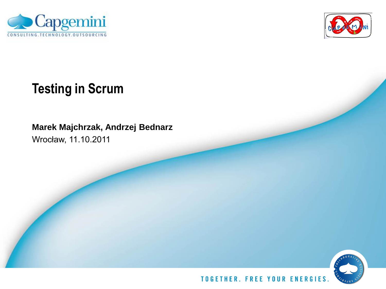



# **Testing in Scrum**

**Marek Majchrzak, Andrzej Bednarz**

Wrocław, 11.10.2011

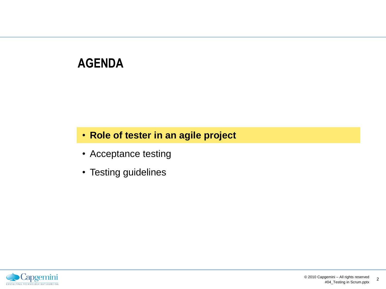## **AGENDA**

### • **Role of tester in an agile project**

- Acceptance testing
- Testing guidelines

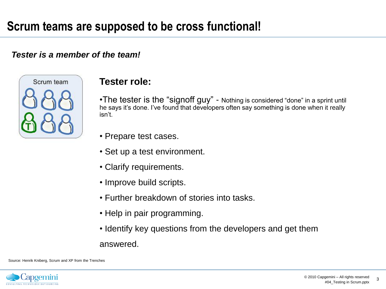#### *Tester is a member of the team!*



#### **Tester role:**

•The tester is the "signoff guy" - Nothing is considered "done" in a sprint until he says it's done. I've found that developers often say something is done when it really isn't.

- Prepare test cases.
- Set up a test environment.
- Clarify requirements.
- Improve build scripts.
- Further breakdown of stories into tasks.
- Help in pair programming.
- Identify key questions from the developers and get them answered.

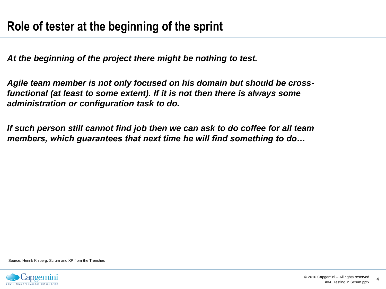*At the beginning of the project there might be nothing to test.*

*Agile team member is not only focused on his domain but should be crossfunctional (at least to some extent). If it is not then there is always some administration or configuration task to do.*

*If such person still cannot find job then we can ask to do coffee for all team members, which guarantees that next time he will find something to do…*

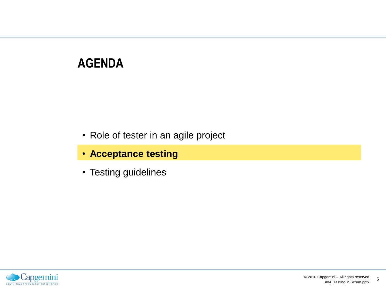## **AGENDA**

- Role of tester in an agile project
- **Acceptance testing**
- Testing guidelines

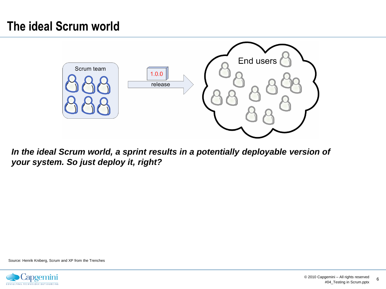## **The ideal Scrum world**



*In the ideal Scrum world, a sprint results in a potentially deployable version of your system. So just deploy it, right?*

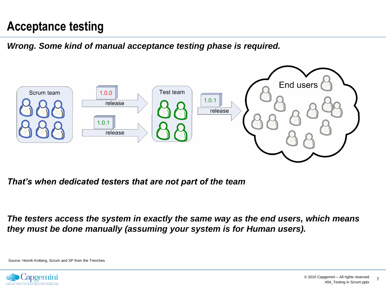### **Acceptance testing**

*Wrong. Some kind of manual acceptance testing phase is required.*



*That's when dedicated testers that are not part of the team* 

*The testers access the system in exactly the same way as the end users, which means they must be done manually (assuming your system is for Human users).*

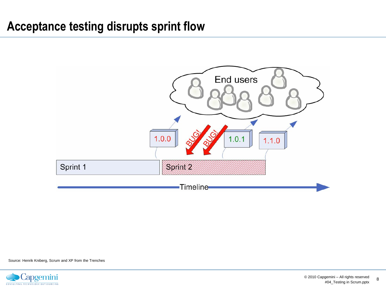### **Acceptance testing disrupts sprint flow**



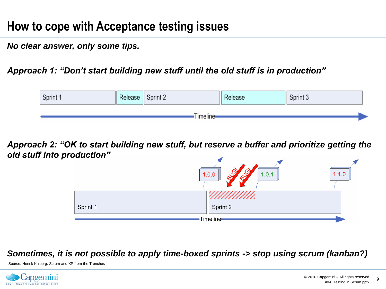### **How to cope with Acceptance testing issues**

*No clear answer, only some tips.*

*Approach 1: "Don't start building new stuff until the old stuff is in production"*



*Approach 2: "OK to start building new stuff, but reserve a buffer and prioritize getting the old stuff into production"*



#### *Sometimes, it is not possible to apply time-boxed sprints -> stop using scrum (kanban?)*

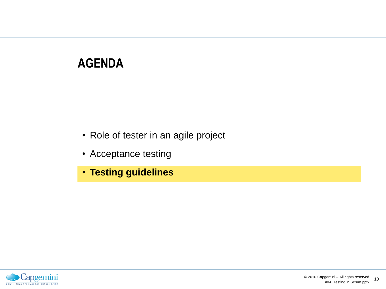## **AGENDA**

- Role of tester in an agile project
- Acceptance testing
- **Testing guidelines**

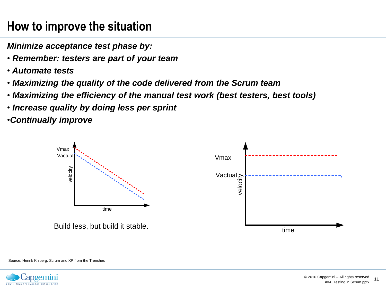## **How to improve the situation**

*Minimize acceptance test phase by:*

- *Remember: testers are part of your team*
- *Automate tests*
- *Maximizing the quality of the code delivered from the Scrum team*
- *Maximizing the efficiency of the manual test work (best testers, best tools)*
- *Increase quality by doing less per sprint*

•*Continually improve*



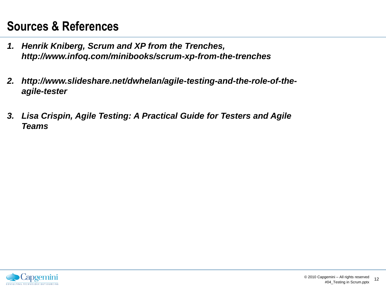## **Sources & References**

- *1. Henrik Kniberg, Scrum and XP from the Trenches, http://www.infoq.com/minibooks/scrum-xp-from-the-trenches*
- *2. http://www.slideshare.net/dwhelan/agile-testing-and-the-role-of-theagile-tester*
- *3. Lisa Crispin, Agile Testing: A Practical Guide for Testers and Agile Teams*